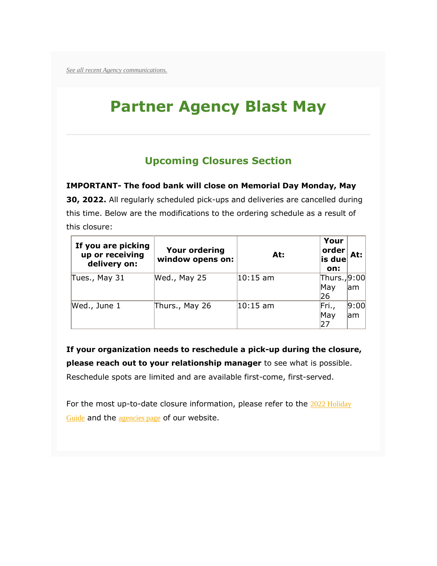*[See all recent Agency communications.](http://cafbtx.convio.net/site/R?i=zSVy1zI2zbL8RyHuJ9RhkyvaFQ4whCrxYD2dYrUNjVhCK240smTitA)*

# **Partner Agency Blast May**

# **Upcoming Closures Section**

**IMPORTANT- The food bank will close on Memorial Day Monday, May** 

**30, 2022.** All regularly scheduled pick-ups and deliveries are cancelled during this time. Below are the modifications to the ordering schedule as a result of this closure:

| If you are picking<br>up or receiving<br>delivery on: | <b>Your ordering</b><br>window opens on: | At:         | Your<br>order<br>is due<br>on: | At:         |
|-------------------------------------------------------|------------------------------------------|-------------|--------------------------------|-------------|
| Tues., May 31                                         | Wed., May 25                             | $ 10:15$ am | Thurs., 9:00<br>May<br>26      | am          |
| Wed., June 1                                          | Thurs., May 26                           | $ 10:15$ am | Fri.,<br>May<br>27             | 9:00<br>lam |

**If your organization needs to reschedule a pick-up during the closure, please reach out to your relationship manager** to see what is possible. Reschedule spots are limited and are available first-come, first-served.

For the most up-to-date closure information, please refer to the 2022 Holiday [Guide](http://cafbtx.convio.net/site/R?i=EmkD0cHKw6juB0ueIny4VQH8aVlDcB30aTt1GJzaa6vAV4xtNPe5uw) and the [agencies page](http://cafbtx.convio.net/site/R?i=kL3HnQMhlRLn9tLCaNzkc_yw0g1xkEeG-5A2q0Y80_2YbqbnpY3-8Q) of our website.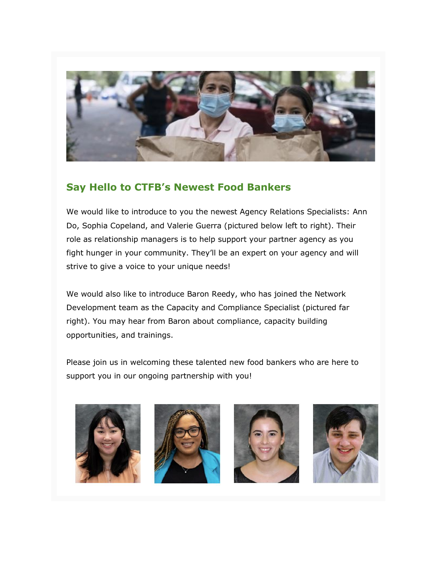

#### **Say Hello to CTFB's Newest Food Bankers**

We would like to introduce to you the newest Agency Relations Specialists: Ann Do, Sophia Copeland, and Valerie Guerra (pictured below left to right). Their role as relationship managers is to help support your partner agency as you fight hunger in your community. They'll be an expert on your agency and will strive to give a voice to your unique needs!

We would also like to introduce Baron Reedy, who has joined the Network Development team as the Capacity and Compliance Specialist (pictured far right). You may hear from Baron about compliance, capacity building opportunities, and trainings.

Please join us in welcoming these talented new food bankers who are here to support you in our ongoing partnership with you!







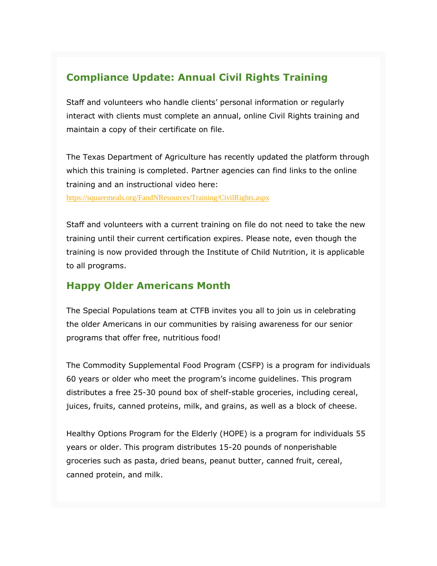### **Compliance Update: Annual Civil Rights Training**

Staff and volunteers who handle clients' personal information or regularly interact with clients must complete an annual, online Civil Rights training and maintain a copy of their certificate on file.

The Texas Department of Agriculture has recently updated the platform through which this training is completed. Partner agencies can find links to the online training and an instructional video here:

[https://squaremeals.org/FandNResources/Training/CivilRights.aspx](http://cafbtx.convio.net/site/R?i=16x7HeoQPYbQfEawfTX6hyclMdd70z81E5NMhygBLX8aSWx7tTrITw)

Staff and volunteers with a current training on file do not need to take the new training until their current certification expires. Please note, even though the training is now provided through the Institute of Child Nutrition, it is applicable to all programs.

## **Happy Older Americans Month**

The Special Populations team at CTFB invites you all to join us in celebrating the older Americans in our communities by raising awareness for our senior programs that offer free, nutritious food!

The Commodity Supplemental Food Program (CSFP) is a program for individuals 60 years or older who meet the program's income guidelines. This program distributes a free 25-30 pound box of shelf-stable groceries, including cereal, juices, fruits, canned proteins, milk, and grains, as well as a block of cheese.

Healthy Options Program for the Elderly (HOPE) is a program for individuals 55 years or older. This program distributes 15-20 pounds of nonperishable groceries such as pasta, dried beans, peanut butter, canned fruit, cereal, canned protein, and milk.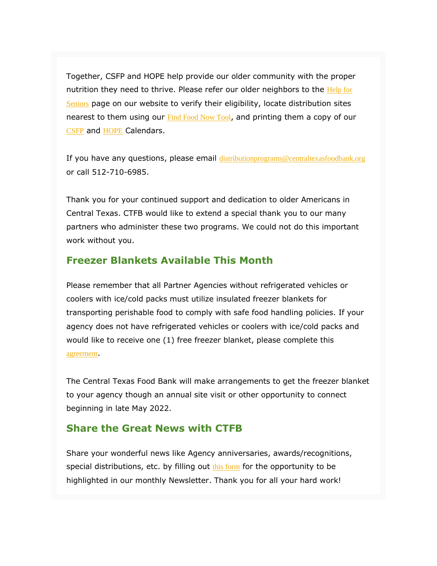Together, CSFP and HOPE help provide our older community with the proper nutrition they need to thrive. Please refer our older neighbors to the Help for [Seniors](http://cafbtx.convio.net/site/R?i=bt_oh3LPl-8T5qPO5DrAZ0-EJcIcymlIjHJZRnRLXqMTDHDNyl5RwA) page on our website to verify their eligibility, locate distribution sites nearest to them using our **[Find Food Now Tool](http://cafbtx.convio.net/site/R?i=vaXLGw29fgTAqMQLUbvns8Va-ID7Fo5F4NSAu284-M1aNMBV1qGRvw)**, and printing them a copy of our [CSFP](http://cafbtx.convio.net/site/R?i=PGAiUZ_63ej1uJ2I3ze8eeMoC9lNBiUgVrGBZFYMiKY8842VvaI6dw) and [HOPE](http://cafbtx.convio.net/site/R?i=crDVui3uXK2ff3d7SyRrmBXSu6blnG5M6xGb7rLlOsecjV1HxyNAMg) Calendars.

If you have any questions, please email [distributionprograms@centraltexasfoodbank.org](mailto:distributionprograms@centraltexasfoodbank.org) or call 512-710-6985.

Thank you for your continued support and dedication to older Americans in Central Texas. CTFB would like to extend a special thank you to our many partners who administer these two programs. We could not do this important work without you.

#### **Freezer Blankets Available This Month**

Please remember that all Partner Agencies without refrigerated vehicles or coolers with ice/cold packs must utilize insulated freezer blankets for transporting perishable food to comply with safe food handling policies. If your agency does not have refrigerated vehicles or coolers with ice/cold packs and would like to receive one (1) free freezer blanket, please complete this [agreement](http://cafbtx.convio.net/site/R?i=ZpBKzdD12Qpu0uvbRjn7W40u1gdhyD8ZzAFUI59NXkZgEfydlRQ_uw).

The Central Texas Food Bank will make arrangements to get the freezer blanket to your agency though an annual site visit or other opportunity to connect beginning in late May 2022.

#### **Share the Great News with CTFB**

Share your wonderful news like Agency anniversaries, awards/recognitions, special distributions, etc. by filling out  $\frac{this}{form}$  for the opportunity to be highlighted in our monthly Newsletter. Thank you for all your hard work!